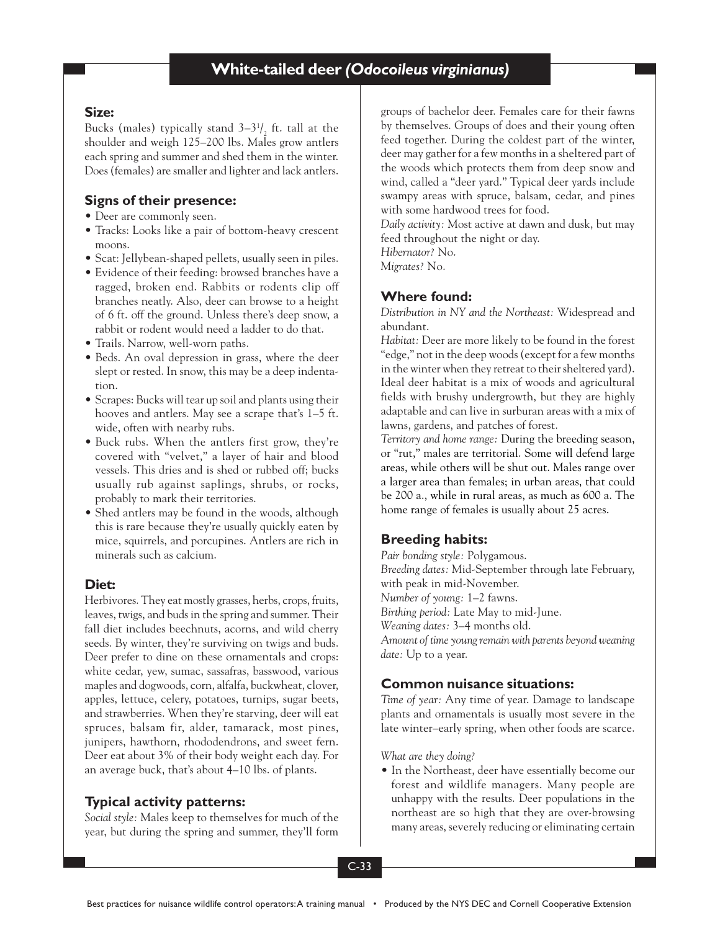### **Size:**

Bucks (males) typically stand  $3-3<sup>1</sup>/<sub>2</sub>$  ft. tall at the shoulder and weigh 125–200 lbs. Males grow antlers each spring and summer and shed them in the winter. Does (females) are smaller and lighter and lack antlers.

# **Signs of their presence:**

- Deer are commonly seen.
- Tracks: Looks like a pair of bottom-heavy crescent moons.
- Scat: Jellybean-shaped pellets, usually seen in piles.
- Evidence of their feeding: browsed branches have a ragged, broken end. Rabbits or rodents clip off branches neatly. Also, deer can browse to a height of 6 ft. off the ground. Unless there's deep snow, a rabbit or rodent would need a ladder to do that.
- Trails. Narrow, well-worn paths.
- Beds. An oval depression in grass, where the deer slept or rested. In snow, this may be a deep indentation.
- Scrapes: Bucks will tear up soil and plants using their hooves and antlers. May see a scrape that's 1–5 ft. wide, often with nearby rubs.
- Buck rubs. When the antlers first grow, they're covered with "velvet," a layer of hair and blood vessels. This dries and is shed or rubbed off; bucks usually rub against saplings, shrubs, or rocks, probably to mark their territories.
- Shed antlers may be found in the woods, although this is rare because they're usually quickly eaten by mice, squirrels, and porcupines. Antlers are rich in minerals such as calcium.

## **Diet:**

Herbivores. They eat mostly grasses, herbs, crops, fruits, leaves, twigs, and buds in the spring and summer. Their fall diet includes beechnuts, acorns, and wild cherry seeds. By winter, they're surviving on twigs and buds. Deer prefer to dine on these ornamentals and crops: white cedar, yew, sumac, sassafras, basswood, various maples and dogwoods, corn, alfalfa, buckwheat, clover, apples, lettuce, celery, potatoes, turnips, sugar beets, and strawberries. When they're starving, deer will eat spruces, balsam fir, alder, tamarack, most pines, junipers, hawthorn, rhododendrons, and sweet fern. Deer eat about 3% of their body weight each day. For an average buck, that's about 4–10 lbs. of plants.

# **Typical activity patterns:**

*Social style:* Males keep to themselves for much of the year, but during the spring and summer, they'll form groups of bachelor deer. Females care for their fawns by themselves. Groups of does and their young often feed together. During the coldest part of the winter, deer may gather for a few months in a sheltered part of the woods which protects them from deep snow and wind, called a "deer yard." Typical deer yards include swampy areas with spruce, balsam, cedar, and pines with some hardwood trees for food.

*Daily activity:* Most active at dawn and dusk, but may feed throughout the night or day.

*Hibernator?* No.

*Migrates?* No.

## **Where found:**

*Distribution in NY and the Northeast:* Widespread and abundant.

*Habitat:* Deer are more likely to be found in the forest "edge," not in the deep woods (except for a few months in the winter when they retreat to their sheltered yard). Ideal deer habitat is a mix of woods and agricultural fields with brushy undergrowth, but they are highly adaptable and can live in surburan areas with a mix of lawns, gardens, and patches of forest.

*Territory and home range:* During the breeding season, or "rut," males are territorial. Some will defend large areas, while others will be shut out. Males range over a larger area than females; in urban areas, that could be 200 a., while in rural areas, as much as 600 a. The home range of females is usually about 25 acres.

# **Breeding habits:**

*Pair bonding style:* Polygamous. *Breeding dates:* Mid-September through late February, with peak in mid-November. *Number of young:* 1–2 fawns. *Birthing period:* Late May to mid-June. *Weaning dates:* 3–4 months old. *Amount of time young remain with parents beyond weaning date:* Up to a year.

## **Common nuisance situations:**

*Time of year:* Any time of year. Damage to landscape plants and ornamentals is usually most severe in the late winter–early spring, when other foods are scarce.

*What are they doing?*

• In the Northeast, deer have essentially become our forest and wildlife managers. Many people are unhappy with the results. Deer populations in the northeast are so high that they are over-browsing many areas, severely reducing or eliminating certain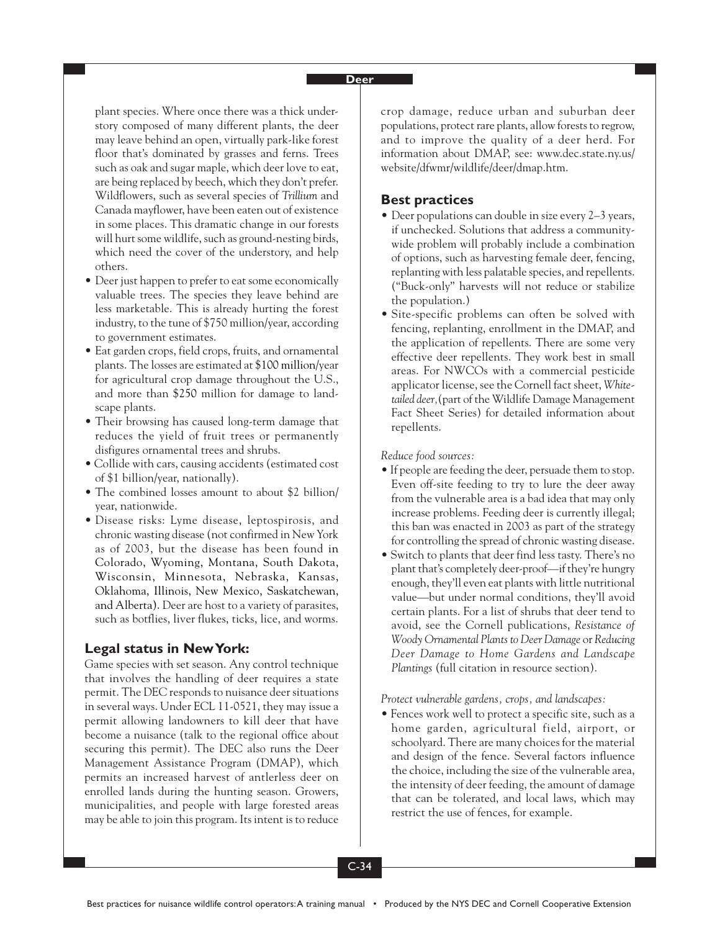#### **Deer**

plant species. Where once there was a thick understory composed of many different plants, the deer may leave behind an open, virtually park-like forest floor that's dominated by grasses and ferns. Trees such as oak and sugar maple, which deer love to eat, are being replaced by beech, which they don't prefer. Wildflowers, such as several species of *Trillium* and Canada mayflower, have been eaten out of existence in some places. This dramatic change in our forests will hurt some wildlife, such as ground-nesting birds, which need the cover of the understory, and help others.

- Deer just happen to prefer to eat some economically valuable trees. The species they leave behind are less marketable. This is already hurting the forest industry, to the tune of \$750 million/year, according to government estimates.
- Eat garden crops, field crops, fruits, and ornamental plants. The losses are estimated at \$100 million/year for agricultural crop damage throughout the U.S., and more than \$250 million for damage to landscape plants.
- Their browsing has caused long-term damage that reduces the yield of fruit trees or permanently disfigures ornamental trees and shrubs.
- Collide with cars, causing accidents (estimated cost of \$1 billion/year, nationally).
- The combined losses amount to about \$2 billion/ year, nationwide.
- Disease risks: Lyme disease, leptospirosis, and chronic wasting disease (not confirmed in New York as of 2003, but the disease has been found in Colorado, Wyoming, Montana, South Dakota, Wisconsin, Minnesota, Nebraska, Kansas, Oklahoma, Illinois, New Mexico, Saskatchewan, and Alberta). Deer are host to a variety of parasites, such as botflies, liver flukes, ticks, lice, and worms.

### **Legal status in New York:**

Game species with set season. Any control technique that involves the handling of deer requires a state permit. The DEC responds to nuisance deer situations in several ways. Under ECL 11-0521, they may issue a permit allowing landowners to kill deer that have become a nuisance (talk to the regional office about securing this permit). The DEC also runs the Deer Management Assistance Program (DMAP), which permits an increased harvest of antlerless deer on enrolled lands during the hunting season. Growers, municipalities, and people with large forested areas may be able to join this program. Its intent is to reduce crop damage, reduce urban and suburban deer populations, protect rare plants, allow forests to regrow, and to improve the quality of a deer herd. For information about DMAP, see: www.dec.state.ny.us/ website/dfwmr/wildlife/deer/dmap.htm.

### **Best practices**

- Deer populations can double in size every 2–3 years, if unchecked. Solutions that address a communitywide problem will probably include a combination of options, such as harvesting female deer, fencing, replanting with less palatable species, and repellents. ("Buck-only" harvests will not reduce or stabilize the population.)
- Site-specific problems can often be solved with fencing, replanting, enrollment in the DMAP, and the application of repellents. There are some very effective deer repellents. They work best in small areas. For NWCOs with a commercial pesticide applicator license, see the Cornell fact sheet, *Whitetailed deer,*(part of the Wildlife Damage Management Fact Sheet Series) for detailed information about repellents.

*Reduce food sources:*

- If people are feeding the deer, persuade them to stop. Even off-site feeding to try to lure the deer away from the vulnerable area is a bad idea that may only increase problems. Feeding deer is currently illegal; this ban was enacted in 2003 as part of the strategy for controlling the spread of chronic wasting disease.
- Switch to plants that deer find less tasty. There's no plant that's completely deer-proof—if they're hungry enough, they'll even eat plants with little nutritional value—but under normal conditions, they'll avoid certain plants. For a list of shrubs that deer tend to avoid, see the Cornell publications, *Resistance of Woody Ornamental Plants to Deer Damage* or *Reducing Deer Damage to Home Gardens and Landscape Plantings* (full citation in resource section).

*Protect vulnerable gardens, crops, and landscapes:*

• Fences work well to protect a specific site, such as a home garden, agricultural field, airport, or schoolyard. There are many choices for the material and design of the fence. Several factors influence the choice, including the size of the vulnerable area, the intensity of deer feeding, the amount of damage that can be tolerated, and local laws, which may restrict the use of fences, for example.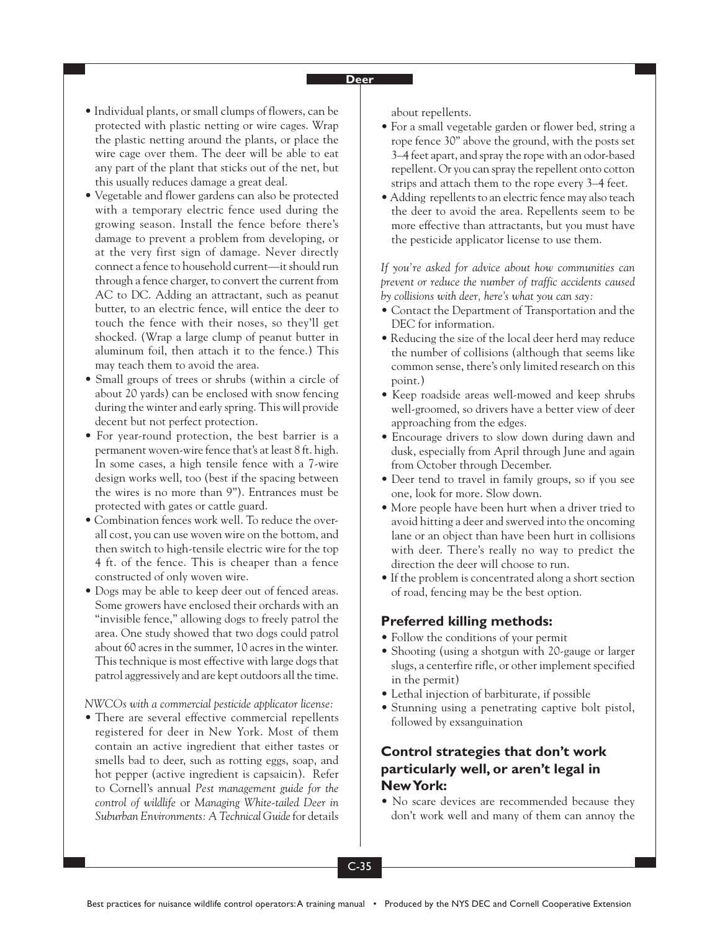#### **Deer**

- Individual plants, or small clumps of flowers, can be protected with plastic netting or wire cages. Wrap the plastic netting around the plants, or place the wire cage over them. The deer will be able to eat any part of the plant that sticks out of the net, but this usually reduces damage a great deal.
- Vegetable and flower gardens can also be protected with a temporary electric fence used during the growing season. Install the fence before there's damage to prevent a problem from developing, or at the very first sign of damage. Never directly connect a fence to household current—it should run through a fence charger, to convert the current from AC to DC. Adding an attractant, such as peanut butter, to an electric fence, will entice the deer to touch the fence with their noses, so they'll get shocked. (Wrap a large clump of peanut butter in aluminum foil, then attach it to the fence.) This may teach them to avoid the area.
- Small groups of trees or shrubs (within a circle of about 20 yards) can be enclosed with snow fencing during the winter and early spring. This will provide decent but not perfect protection.
- For year-round protection, the best barrier is a permanent woven-wire fence that's at least 8 ft. high. In some cases, a high tensile fence with a 7-wire design works well, too (best if the spacing between the wires is no more than 9"). Entrances must be protected with gates or cattle guard.
- Combination fences work well. To reduce the overall cost, you can use woven wire on the bottom, and then switch to high-tensile electric wire for the top 4 ft. of the fence. This is cheaper than a fence constructed of only woven wire.
- Dogs may be able to keep deer out of fenced areas. Some growers have enclosed their orchards with an "invisible fence," allowing dogs to freely patrol the area. One study showed that two dogs could patrol about 60 acres in the summer, 10 acres in the winter. This technique is most effective with large dogs that patrol aggressively and are kept outdoors all the time.

*NWCOs with a commercial pesticide applicator license:*

• There are several effective commercial repellents registered for deer in New York. Most of them contain an active ingredient that either tastes or smells bad to deer, such as rotting eggs, soap, and hot pepper (active ingredient is capsaicin). Refer to Cornell's annual *Pest management guide for the control of wildlife* or *Managing White-tailed Deer in Suburban Environments: A Technical Guide*for details about repellents.

- For a small vegetable garden or flower bed, string a rope fence 30" above the ground, with the posts set 3–4 feet apart, and spray the rope with an odor-based repellent. Or you can spray the repellent onto cotton strips and attach them to the rope every 3–4 feet.
- Adding repellents to an electric fence may also teach the deer to avoid the area. Repellents seem to be more effective than attractants, but you must have the pesticide applicator license to use them.

*If you're asked for advice about how communities can prevent or reduce the number of traffic accidents caused by collisions with deer, here's what you can say:*

- Contact the Department of Transportation and the DEC for information.
- Reducing the size of the local deer herd may reduce the number of collisions (although that seems like common sense, there's only limited research on this point.)
- Keep roadside areas well-mowed and keep shrubs well-groomed, so drivers have a better view of deer approaching from the edges.
- Encourage drivers to slow down during dawn and dusk, especially from April through June and again from October through December.
- Deer tend to travel in family groups, so if you see one, look for more. Slow down.
- More people have been hurt when a driver tried to avoid hitting a deer and swerved into the oncoming lane or an object than have been hurt in collisions with deer. There's really no way to predict the direction the deer will choose to run.
- If the problem is concentrated along a short section of road, fencing may be the best option.

### **Preferred killing methods:**

- Follow the conditions of your permit
- Shooting (using a shotgun with 20-gauge or larger slugs, a centerfire rifle, or other implement specified in the permit)
- Lethal injection of barbiturate, if possible
- Stunning using a penetrating captive bolt pistol, followed by exsanguination

## **Control strategies that don't work particularly well, or aren't legal in New York:**

• No scare devices are recommended because they don't work well and many of them can annoy the